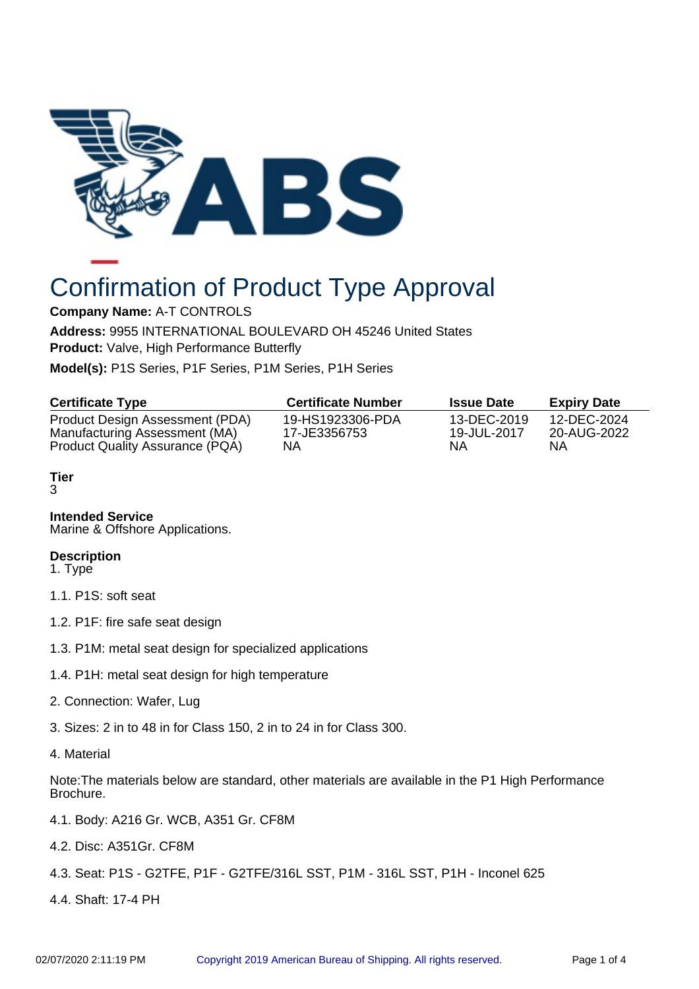

# Confirmation of Product Type Approval

**Company Name:** A-T CONTROLS

**Address:** 9955 INTERNATIONAL BOULEVARD OH 45246 United States **Product:** Valve, High Performance Butterfly

**Model(s):** P1S Series, P1F Series, P1M Series, P1H Series

| <b>Certificate Type</b>         | <b>Certificate Number</b> | <b>Issue Date</b> | <b>Expiry Date</b> |
|---------------------------------|---------------------------|-------------------|--------------------|
| Product Design Assessment (PDA) | 19-HS1923306-PDA          | 13-DEC-2019       | 12-DEC-2024        |
| Manufacturing Assessment (MA)   | 17-JE3356753              | 19-JUL-2017       | 20-AUG-2022        |
| Product Quality Assurance (PQA) | ΝA                        | ΝA                | NΑ                 |

# **Tier**

3

# **Intended Service**

Marine & Offshore Applications.

# **Description**

1. Type

- 1.1. P1S: soft seat
- 1.2. P1F: fire safe seat design
- 1.3. P1M: metal seat design for specialized applications
- 1.4. P1H: metal seat design for high temperature
- 2. Connection: Wafer, Lug
- 3. Sizes: 2 in to 48 in for Class 150, 2 in to 24 in for Class 300.
- 4. Material

Note:The materials below are standard, other materials are available in the P1 High Performance Brochure.

- 4.1. Body: A216 Gr. WCB, A351 Gr. CF8M
- 4.2. Disc: A351Gr. CF8M
- 4.3. Seat: P1S G2TFE, P1F G2TFE/316L SST, P1M 316L SST, P1H Inconel 625
- 4.4. Shaft: 17-4 PH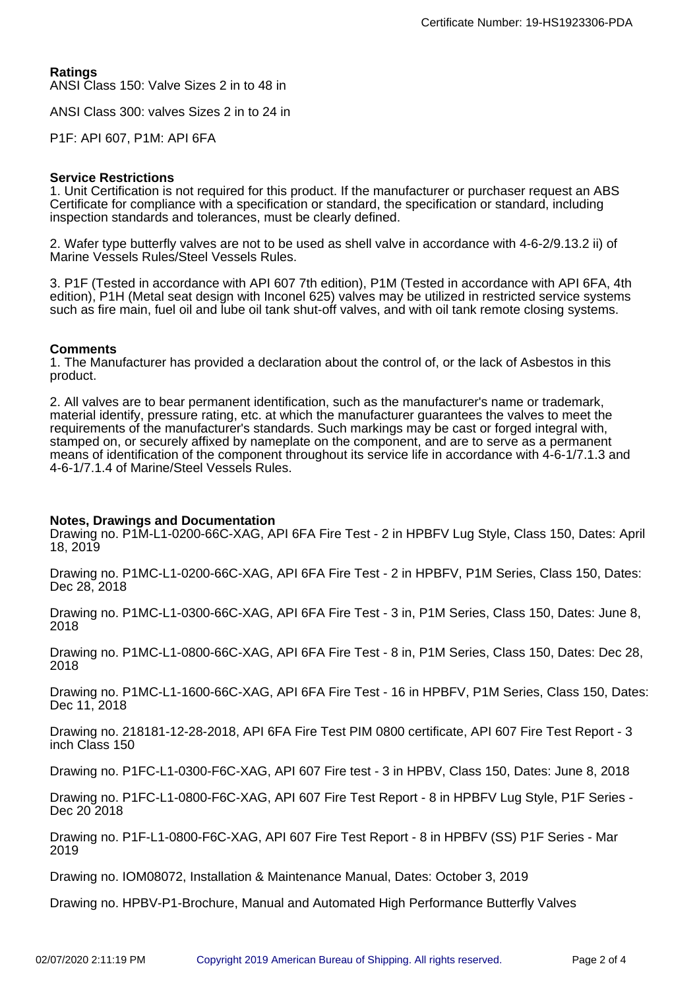**Ratings** ANSI Class 150: Valve Sizes 2 in to 48 in

ANSI Class 300: valves Sizes 2 in to 24 in

P1F: API 607, P1M: API 6FA

## **Service Restrictions**

1. Unit Certification is not required for this product. If the manufacturer or purchaser request an ABS Certificate for compliance with a specification or standard, the specification or standard, including inspection standards and tolerances, must be clearly defined.

2. Wafer type butterfly valves are not to be used as shell valve in accordance with 4-6-2/9.13.2 ii) of Marine Vessels Rules/Steel Vessels Rules.

3. P1F (Tested in accordance with API 607 7th edition), P1M (Tested in accordance with API 6FA, 4th edition), P1H (Metal seat design with Inconel 625) valves may be utilized in restricted service systems such as fire main, fuel oil and lube oil tank shut-off valves, and with oil tank remote closing systems.

### **Comments**

1. The Manufacturer has provided a declaration about the control of, or the lack of Asbestos in this product.

2. All valves are to bear permanent identification, such as the manufacturer's name or trademark, material identify, pressure rating, etc. at which the manufacturer guarantees the valves to meet the requirements of the manufacturer's standards. Such markings may be cast or forged integral with, stamped on, or securely affixed by nameplate on the component, and are to serve as a permanent means of identification of the component throughout its service life in accordance with 4-6-1/7.1.3 and 4-6-1/7.1.4 of Marine/Steel Vessels Rules.

#### **Notes, Drawings and Documentation**

Drawing no. P1M-L1-0200-66C-XAG, API 6FA Fire Test - 2 in HPBFV Lug Style, Class 150, Dates: April 18, 2019

Drawing no. P1MC-L1-0200-66C-XAG, API 6FA Fire Test - 2 in HPBFV, P1M Series, Class 150, Dates: Dec 28, 2018

Drawing no. P1MC-L1-0300-66C-XAG, API 6FA Fire Test - 3 in, P1M Series, Class 150, Dates: June 8, 2018

Drawing no. P1MC-L1-0800-66C-XAG, API 6FA Fire Test - 8 in, P1M Series, Class 150, Dates: Dec 28, 2018

Drawing no. P1MC-L1-1600-66C-XAG, API 6FA Fire Test - 16 in HPBFV, P1M Series, Class 150, Dates: Dec 11, 2018

Drawing no. 218181-12-28-2018, API 6FA Fire Test PIM 0800 certificate, API 607 Fire Test Report - 3 inch Class 150

Drawing no. P1FC-L1-0300-F6C-XAG, API 607 Fire test - 3 in HPBV, Class 150, Dates: June 8, 2018

Drawing no. P1FC-L1-0800-F6C-XAG, API 607 Fire Test Report - 8 in HPBFV Lug Style, P1F Series - Dec 20 2018

Drawing no. P1F-L1-0800-F6C-XAG, API 607 Fire Test Report - 8 in HPBFV (SS) P1F Series - Mar 2019

Drawing no. IOM08072, Installation & Maintenance Manual, Dates: October 3, 2019

Drawing no. HPBV-P1-Brochure, Manual and Automated High Performance Butterfly Valves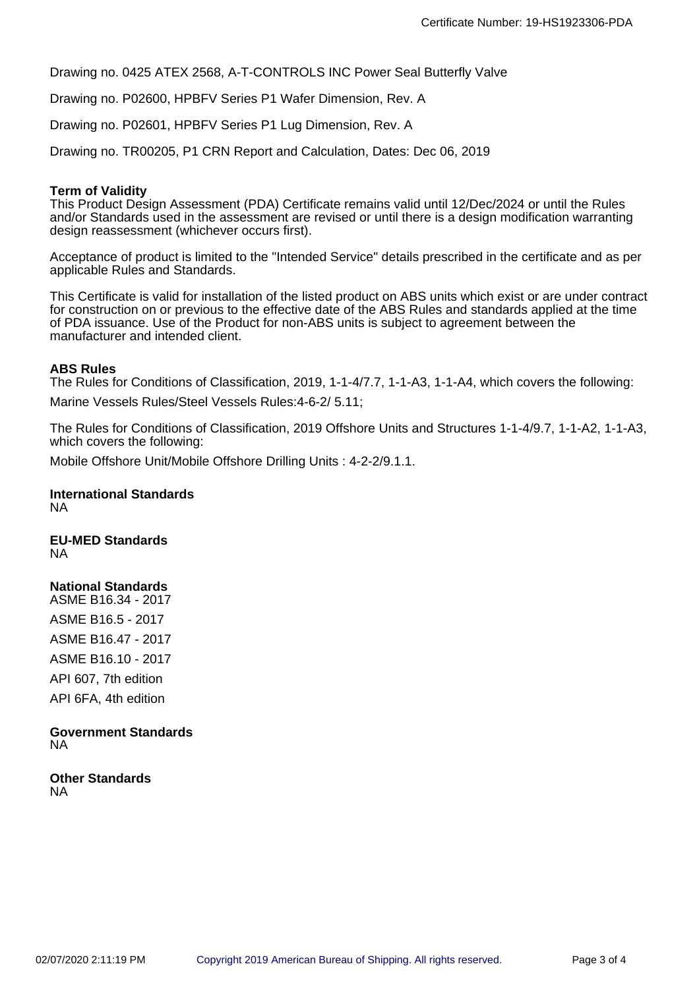Drawing no. 0425 ATEX 2568, A-T-CONTROLS INC Power Seal Butterfly Valve

Drawing no. P02600, HPBFV Series P1 Wafer Dimension, Rev. A

Drawing no. P02601, HPBFV Series P1 Lug Dimension, Rev. A

Drawing no. TR00205, P1 CRN Report and Calculation, Dates: Dec 06, 2019

## **Term of Validity**

This Product Design Assessment (PDA) Certificate remains valid until 12/Dec/2024 or until the Rules and/or Standards used in the assessment are revised or until there is a design modification warranting design reassessment (whichever occurs first).

Acceptance of product is limited to the "Intended Service" details prescribed in the certificate and as per applicable Rules and Standards.

This Certificate is valid for installation of the listed product on ABS units which exist or are under contract for construction on or previous to the effective date of the ABS Rules and standards applied at the time of PDA issuance. Use of the Product for non-ABS units is subject to agreement between the manufacturer and intended client.

## **ABS Rules**

The Rules for Conditions of Classification, 2019, 1-1-4/7.7, 1-1-A3, 1-1-A4, which covers the following:

Marine Vessels Rules/Steel Vessels Rules:4-6-2/ 5.11;

The Rules for Conditions of Classification, 2019 Offshore Units and Structures 1-1-4/9.7, 1-1-A2, 1-1-A3, which covers the following:

Mobile Offshore Unit/Mobile Offshore Drilling Units : 4-2-2/9.1.1.

#### **International Standards** NA

**EU-MED Standards** NA

# **National Standards**

ASME B16.34 - 2017 ASME B16.5 - 2017 ASME B16.47 - 2017 ASME B16.10 - 2017 API 607, 7th edition API 6FA, 4th edition

## **Government Standards** NA

**Other Standards** NA